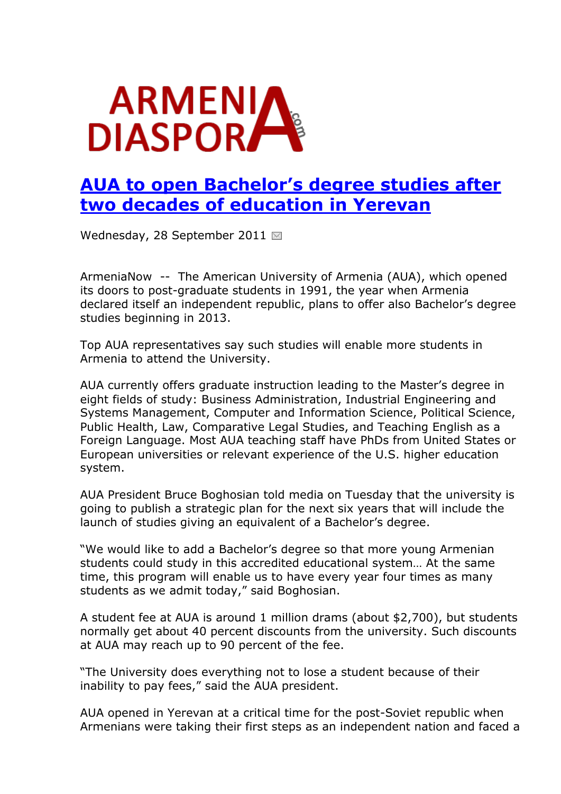

## **[AUA to open Bachelor's degree studies after](http://www.armeniadiaspora.com/news/5483-aua-to-open-bachelors-degree-studies-after-two-decades-of-education-in-yerevan.html)  [two decades of education in Yerevan](http://www.armeniadiaspora.com/news/5483-aua-to-open-bachelors-degree-studies-after-two-decades-of-education-in-yerevan.html)**

Wednesday, 28 September 2011

ArmeniaNow -- The American University of Armenia (AUA), which opened its doors to post-graduate students in 1991, the year when Armenia declared itself an independent republic, plans to offer also Bachelor's degree studies beginning in 2013.

Top AUA representatives say such studies will enable more students in Armenia to attend the University.

AUA currently offers graduate instruction leading to the Master's degree in eight fields of study: Business Administration, Industrial Engineering and Systems Management, Computer and Information Science, Political Science, Public Health, Law, Comparative Legal Studies, and Teaching English as a Foreign Language. Most AUA teaching staff have PhDs from United States or European universities or relevant experience of the U.S. higher education system.

AUA President Bruce Boghosian told media on Tuesday that the university is going to publish a strategic plan for the next six years that will include the launch of studies giving an equivalent of a Bachelor's degree.

"We would like to add a Bachelor's degree so that more young Armenian students could study in this accredited educational system… At the same time, this program will enable us to have every year four times as many students as we admit today," said Boghosian.

A student fee at AUA is around 1 million drams (about \$2,700), but students normally get about 40 percent discounts from the university. Such discounts at AUA may reach up to 90 percent of the fee.

"The University does everything not to lose a student because of their inability to pay fees," said the AUA president.

AUA opened in Yerevan at a critical time for the post-Soviet republic when Armenians were taking their first steps as an independent nation and faced a